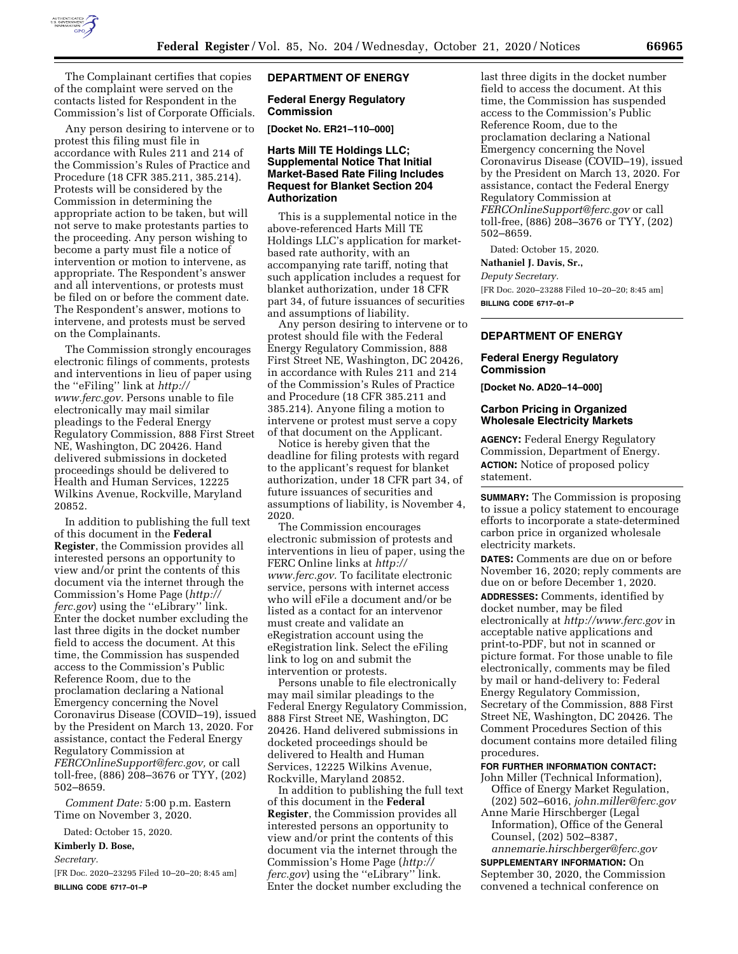

The Complainant certifies that copies of the complaint were served on the contacts listed for Respondent in the Commission's list of Corporate Officials.

Any person desiring to intervene or to protest this filing must file in accordance with Rules 211 and 214 of the Commission's Rules of Practice and Procedure (18 CFR 385.211, 385.214). Protests will be considered by the Commission in determining the appropriate action to be taken, but will not serve to make protestants parties to the proceeding. Any person wishing to become a party must file a notice of intervention or motion to intervene, as appropriate. The Respondent's answer and all interventions, or protests must be filed on or before the comment date. The Respondent's answer, motions to intervene, and protests must be served on the Complainants.

The Commission strongly encourages electronic filings of comments, protests and interventions in lieu of paper using the ''eFiling'' link at *[http://](http://www.ferc.gov) [www.ferc.gov.](http://www.ferc.gov)* Persons unable to file electronically may mail similar pleadings to the Federal Energy Regulatory Commission, 888 First Street NE, Washington, DC 20426. Hand delivered submissions in docketed proceedings should be delivered to Health and Human Services, 12225 Wilkins Avenue, Rockville, Maryland 20852.

In addition to publishing the full text of this document in the **Federal Register**, the Commission provides all interested persons an opportunity to view and/or print the contents of this document via the internet through the Commission's Home Page (*[http://](http://ferc.gov) [ferc.gov](http://ferc.gov)*) using the ''eLibrary'' link. Enter the docket number excluding the last three digits in the docket number field to access the document. At this time, the Commission has suspended access to the Commission's Public Reference Room, due to the proclamation declaring a National Emergency concerning the Novel Coronavirus Disease (COVID–19), issued by the President on March 13, 2020. For assistance, contact the Federal Energy Regulatory Commission at *[FERCOnlineSupport@ferc.gov,](mailto:FERCOnlineSupport@ferc.gov)* or call toll-free, (886) 208–3676 or TYY, (202) 502–8659.

*Comment Date:* 5:00 p.m. Eastern Time on November 3, 2020.

Dated: October 15, 2020.

## **Kimberly D. Bose,**

*Secretary.* 

[FR Doc. 2020–23295 Filed 10–20–20; 8:45 am] **BILLING CODE 6717–01–P** 

# **DEPARTMENT OF ENERGY**

**Federal Energy Regulatory Commission** 

**[Docket No. ER21–110–000]** 

## **Harts Mill TE Holdings LLC; Supplemental Notice That Initial Market-Based Rate Filing Includes Request for Blanket Section 204 Authorization**

This is a supplemental notice in the above-referenced Harts Mill TE Holdings LLC's application for marketbased rate authority, with an accompanying rate tariff, noting that such application includes a request for blanket authorization, under 18 CFR part 34, of future issuances of securities and assumptions of liability.

Any person desiring to intervene or to protest should file with the Federal Energy Regulatory Commission, 888 First Street NE, Washington, DC 20426, in accordance with Rules 211 and 214 of the Commission's Rules of Practice and Procedure (18 CFR 385.211 and 385.214). Anyone filing a motion to intervene or protest must serve a copy of that document on the Applicant.

Notice is hereby given that the deadline for filing protests with regard to the applicant's request for blanket authorization, under 18 CFR part 34, of future issuances of securities and assumptions of liability, is November 4, 2020.

The Commission encourages electronic submission of protests and interventions in lieu of paper, using the FERC Online links at *[http://](http://www.ferc.gov) [www.ferc.gov.](http://www.ferc.gov)* To facilitate electronic service, persons with internet access who will eFile a document and/or be listed as a contact for an intervenor must create and validate an eRegistration account using the eRegistration link. Select the eFiling link to log on and submit the intervention or protests.

Persons unable to file electronically may mail similar pleadings to the Federal Energy Regulatory Commission, 888 First Street NE, Washington, DC 20426. Hand delivered submissions in docketed proceedings should be delivered to Health and Human Services, 12225 Wilkins Avenue, Rockville, Maryland 20852.

In addition to publishing the full text of this document in the **Federal Register**, the Commission provides all interested persons an opportunity to view and/or print the contents of this document via the internet through the Commission's Home Page (*[http://](http://ferc.gov) [ferc.gov](http://ferc.gov)*) using the ''eLibrary'' link. Enter the docket number excluding the

last three digits in the docket number field to access the document. At this time, the Commission has suspended access to the Commission's Public Reference Room, due to the proclamation declaring a National Emergency concerning the Novel Coronavirus Disease (COVID–19), issued by the President on March 13, 2020. For assistance, contact the Federal Energy Regulatory Commission at *[FERCOnlineSupport@ferc.gov](mailto:FERCOnlineSupport@ferc.gov)* or call toll-free, (886) 208–3676 or TYY, (202) 502–8659.

Dated: October 15, 2020.

## **Nathaniel J. Davis, Sr.,**

*Deputy Secretary.* 

[FR Doc. 2020–23288 Filed 10–20–20; 8:45 am] **BILLING CODE 6717–01–P** 

# **DEPARTMENT OF ENERGY**

# **Federal Energy Regulatory Commission**

**[Docket No. AD20–14–000]** 

## **Carbon Pricing in Organized Wholesale Electricity Markets**

**AGENCY:** Federal Energy Regulatory Commission, Department of Energy. **ACTION:** Notice of proposed policy statement.

**SUMMARY:** The Commission is proposing to issue a policy statement to encourage efforts to incorporate a state-determined carbon price in organized wholesale electricity markets.

**DATES:** Comments are due on or before November 16, 2020; reply comments are due on or before December 1, 2020. **ADDRESSES:** Comments, identified by docket number, may be filed electronically at *<http://www.ferc.gov>*in acceptable native applications and print-to-PDF, but not in scanned or picture format. For those unable to file electronically, comments may be filed by mail or hand-delivery to: Federal Energy Regulatory Commission, Secretary of the Commission, 888 First Street NE, Washington, DC 20426. The Comment Procedures Section of this document contains more detailed filing procedures.

## **FOR FURTHER INFORMATION CONTACT:**

John Miller (Technical Information), Office of Energy Market Regulation,

(202) 502–6016, *[john.miller@ferc.gov](mailto:john.miller@ferc.gov)*  Anne Marie Hirschberger (Legal Information), Office of the General

Counsel, (202) 502–8387, *[annemarie.hirschberger@ferc.gov](mailto:annemarie.hirschberger@ferc.gov)* 

**SUPPLEMENTARY INFORMATION:** On September 30, 2020, the Commission convened a technical conference on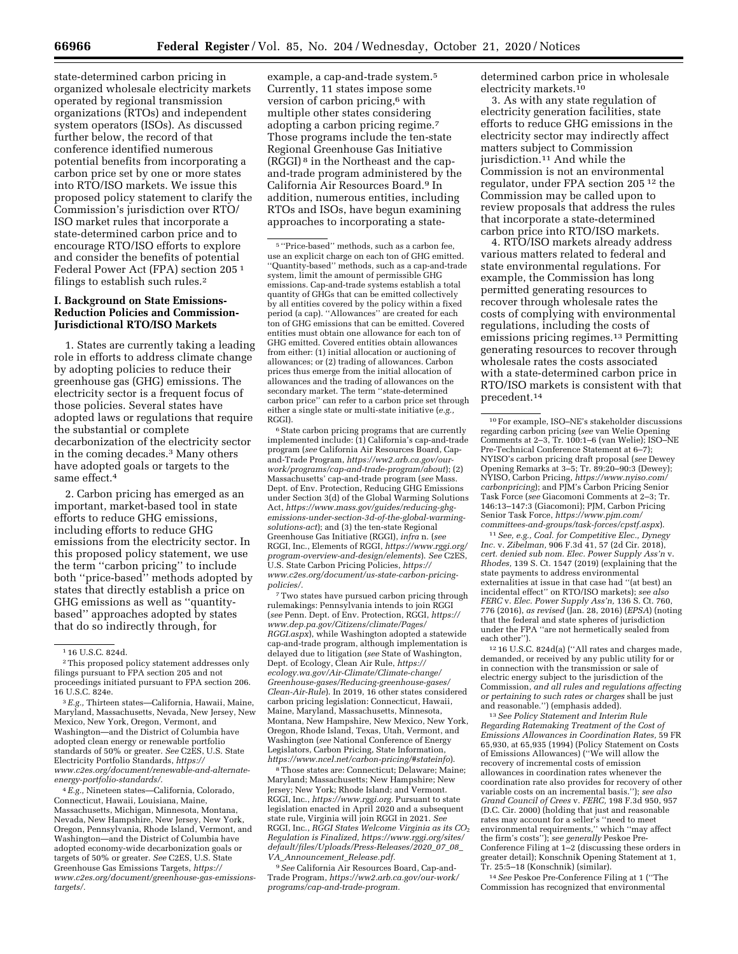state-determined carbon pricing in organized wholesale electricity markets operated by regional transmission organizations (RTOs) and independent system operators (ISOs). As discussed further below, the record of that conference identified numerous potential benefits from incorporating a carbon price set by one or more states into RTO/ISO markets. We issue this proposed policy statement to clarify the Commission's jurisdiction over RTO/ ISO market rules that incorporate a state-determined carbon price and to encourage RTO/ISO efforts to explore and consider the benefits of potential Federal Power Act (FPA) section 205 1 filings to establish such rules.2

## **I. Background on State Emissions-Reduction Policies and Commission-Jurisdictional RTO/ISO Markets**

1. States are currently taking a leading role in efforts to address climate change by adopting policies to reduce their greenhouse gas (GHG) emissions. The electricity sector is a frequent focus of those policies. Several states have adopted laws or regulations that require the substantial or complete decarbonization of the electricity sector in the coming decades.3 Many others have adopted goals or targets to the same effect.4

2. Carbon pricing has emerged as an important, market-based tool in state efforts to reduce GHG emissions, including efforts to reduce GHG emissions from the electricity sector. In this proposed policy statement, we use the term ''carbon pricing'' to include both ''price-based'' methods adopted by states that directly establish a price on GHG emissions as well as ''quantitybased'' approaches adopted by states that do so indirectly through, for

3*E.g.,* Thirteen states—California, Hawaii, Maine, Maryland, Massachusetts, Nevada, New Jersey, New Mexico, New York, Oregon, Vermont, and Washington—and the District of Columbia have adopted clean energy or renewable portfolio standards of 50% or greater. *See* C2ES, U.S. State Electricity Portfolio Standards, *[https://](https://www.c2es.org/document/renewable-and-alternate-energy-portfolio-standards/) [www.c2es.org/document/renewable-and-alternate](https://www.c2es.org/document/renewable-and-alternate-energy-portfolio-standards/)[energy-portfolio-standards/.](https://www.c2es.org/document/renewable-and-alternate-energy-portfolio-standards/)* 

4*E.g.,* Nineteen states—California, Colorado, Connecticut, Hawaii, Louisiana, Maine, Massachusetts, Michigan, Minnesota, Montana, Nevada, New Hampshire, New Jersey, New York, Oregon, Pennsylvania, Rhode Island, Vermont, and Washington—and the District of Columbia have adopted economy-wide decarbonization goals or targets of 50% or greater. *See* C2ES, U.S. State Greenhouse Gas Emissions Targets, *[https://](https://www.c2es.org/document/greenhouse-gas-emissions-targets/) [www.c2es.org/document/greenhouse-gas-emissions](https://www.c2es.org/document/greenhouse-gas-emissions-targets/)[targets/.](https://www.c2es.org/document/greenhouse-gas-emissions-targets/)* 

example, a cap-and-trade system.5 Currently, 11 states impose some version of carbon pricing,<sup>6</sup> with multiple other states considering adopting a carbon pricing regime.7 Those programs include the ten-state Regional Greenhouse Gas Initiative (RGGI) 8 in the Northeast and the capand-trade program administered by the California Air Resources Board.9 In addition, numerous entities, including RTOs and ISOs, have begun examining approaches to incorporating a state-

<sup>6</sup> State carbon pricing programs that are currently implemented include: (1) California's cap-and-trade program (*see* California Air Resources Board, Capand-Trade Program, *[https://ww2.arb.ca.gov/our](https://ww2.arb.ca.gov/our-work/programs/cap-and-trade-program/about)[work/programs/cap-and-trade-program/about](https://ww2.arb.ca.gov/our-work/programs/cap-and-trade-program/about)*); (2) Massachusetts' cap-and-trade program (*see* Mass. Dept. of Env. Protection, Reducing GHG Emissions under Section 3(d) of the Global Warming Solutions Act, *[https://www.mass.gov/guides/reducing-ghg](https://www.mass.gov/guides/reducing-ghg-emissions-under-section-3d-of-the-global-warming-solutions-act)[emissions-under-section-3d-of-the-global-warming](https://www.mass.gov/guides/reducing-ghg-emissions-under-section-3d-of-the-global-warming-solutions-act)[solutions-act](https://www.mass.gov/guides/reducing-ghg-emissions-under-section-3d-of-the-global-warming-solutions-act)*); and (3) the ten-state Regional Greenhouse Gas Initiative (RGGI), *infra* n. (*see*  RGGI, Inc., Elements of RGGI, *[https://www.rggi.org/](https://www.rggi.org/program-overview-and-design/elements)  [program-overview-and-design/elements](https://www.rggi.org/program-overview-and-design/elements)*). *See* C2ES, U.S. State Carbon Pricing Policies, *[https://](https://www.c2es.org/document/us-state-carbon-pricing-policies/) [www.c2es.org/document/us-state-carbon-pricing](https://www.c2es.org/document/us-state-carbon-pricing-policies/)[policies/.](https://www.c2es.org/document/us-state-carbon-pricing-policies/)* 

7Two states have pursued carbon pricing through rulemakings: Pennsylvania intends to join RGGI (*see* Penn. Dept. of Env. Protection, RGGI, *[https://](https://www.dep.pa.gov/Citizens/climate/Pages/RGGI.aspx)  [www.dep.pa.gov/Citizens/climate/Pages/](https://www.dep.pa.gov/Citizens/climate/Pages/RGGI.aspx)  [RGGI.aspx](https://www.dep.pa.gov/Citizens/climate/Pages/RGGI.aspx)*), while Washington adopted a statewide cap-and-trade program, although implementation is delayed due to litigation (*see* State of Washington, Dept. of Ecology, Clean Air Rule, *[https://](https://ecology.wa.gov/Air-Climate/Climate-change/Greenhouse-gases/Reducing-greenhouse-gases/Clean-Air-Rule) [ecology.wa.gov/Air-Climate/Climate-change/](https://ecology.wa.gov/Air-Climate/Climate-change/Greenhouse-gases/Reducing-greenhouse-gases/Clean-Air-Rule) [Greenhouse-gases/Reducing-greenhouse-gases/](https://ecology.wa.gov/Air-Climate/Climate-change/Greenhouse-gases/Reducing-greenhouse-gases/Clean-Air-Rule)  [Clean-Air-Rule](https://ecology.wa.gov/Air-Climate/Climate-change/Greenhouse-gases/Reducing-greenhouse-gases/Clean-Air-Rule)*). In 2019, 16 other states considered carbon pricing legislation: Connecticut, Hawaii, Maine, Maryland, Massachusetts, Minnesota, Montana, New Hampshire, New Mexico, New York, Oregon, Rhode Island, Texas, Utah, Vermont, and Washington (*see* National Conference of Energy Legislators, Carbon Pricing, State Information, *<https://www.ncel.net/carbon-pricing/#stateinfo>*).

8Those states are: Connecticut; Delaware; Maine; Maryland; Massachusetts; New Hampshire; New Jersey; New York; Rhode Island; and Vermont. RGGI, Inc., *[https://www.rggi.org.](https://www.rggi.org)* Pursuant to state legislation enacted in April 2020 and a subsequent state rule, Virginia will join RGGI in 2021. *See*  RGGI, Inc., *RGGI States Welcome Virginia as its CO*2 *Regulation is Finalized, [https://www.rggi.org/sites/](https://www.rggi.org/sites/default/files/Uploads/Press-Releases/2020_07_08_VA_Announcement_Release.pdf) [default/files/Uploads/Press-Releases/2020](https://www.rggi.org/sites/default/files/Uploads/Press-Releases/2020_07_08_VA_Announcement_Release.pdf)*\_*07*\_*08*\_ *VA*\_*[Announcement](https://www.rggi.org/sites/default/files/Uploads/Press-Releases/2020_07_08_VA_Announcement_Release.pdf)*\_*Release.pdf.* 

9*See* California Air Resources Board, Cap-and-Trade Program, *[https://ww2.arb.ca.gov/our-work/](https://ww2.arb.ca.gov/our-work/programs/cap-and-trade-program)  [programs/cap-and-trade-program.](https://ww2.arb.ca.gov/our-work/programs/cap-and-trade-program)* 

determined carbon price in wholesale electricity markets.10

3. As with any state regulation of electricity generation facilities, state efforts to reduce GHG emissions in the electricity sector may indirectly affect matters subject to Commission jurisdiction.<sup>11</sup> And while the Commission is not an environmental regulator, under FPA section 205 12 the Commission may be called upon to review proposals that address the rules that incorporate a state-determined carbon price into RTO/ISO markets.

4. RTO/ISO markets already address various matters related to federal and state environmental regulations. For example, the Commission has long permitted generating resources to recover through wholesale rates the costs of complying with environmental regulations, including the costs of emissions pricing regimes.13 Permitting generating resources to recover through wholesale rates the costs associated with a state-determined carbon price in RTO/ISO markets is consistent with that precedent.14

 $^{\rm 10}\rm{For}$  example, ISO–NE's stakeholder discussions regarding carbon pricing (*see* van Welie Opening Comments at 2–3, Tr. 100:1–6 (van Welie); ISO–NE Pre-Technical Conference Statement at 6–7); NYISO's carbon pricing draft proposal (*see* Dewey Opening Remarks at 3–5; Tr. 89:20–90:3 (Dewey); NYISO, Carbon Pricing, *[https://www.nyiso.com/](https://www.nyiso.com/carbonpricing) [carbonpricing](https://www.nyiso.com/carbonpricing)*); and PJM's Carbon Pricing Senior Task Force (*see* Giacomoni Comments at 2–3; Tr. 146:13–147:3 (Giacomoni); PJM, Carbon Pricing Senior Task Force, *[https://www.pjm.com/](https://www.pjm.com/committees-and-groups/task-forces/cpstf.aspx) [committees-and-groups/task-forces/cpstf.aspx](https://www.pjm.com/committees-and-groups/task-forces/cpstf.aspx)*).

11*See, e.g., Coal. for Competitive Elec., Dynegy Inc.* v. *Zibelman,* 906 F.3d 41, 57 (2d Cir. 2018), *cert. denied sub nom. Elec. Power Supply Ass'n* v. *Rhodes,* 139 S. Ct. 1547 (2019) (explaining that the state payments to address environmental externalities at issue in that case had ''(at best) an incidental effect'' on RTO/ISO markets); *see also FERC* v. *Elec. Power Supply Ass'n,* 136 S. Ct. 760, 776 (2016), *as revised* (Jan. 28, 2016) (*EPSA*) (noting that the federal and state spheres of jurisdiction under the FPA ''are not hermetically sealed from each other'').

12 16 U.S.C. 824d(a) (''All rates and charges made, demanded, or received by any public utility for or in connection with the transmission or sale of electric energy subject to the jurisdiction of the Commission, *and all rules and regulations affecting or pertaining to such rates or charges* shall be just

<sup>13</sup> See Policy Statement and Interim Rule *Regarding Ratemaking Treatment of the Cost of Emissions Allowances in Coordination Rates,* 59 FR 65,930, at 65,935 (1994) (Policy Statement on Costs of Emissions Allowances) (''We will allow the recovery of incremental costs of emission allowances in coordination rates whenever the coordination rate also provides for recovery of other variable costs on an incremental basis.''); *see also Grand Council of Crees* v. *FERC,* 198 F.3d 950, 957 (D.C. Cir. 2000) (holding that just and reasonable rates may account for a seller's ''need to meet environmental requirements,'' which ''may affect the firm's costs''); *see generally* Peskoe Pre-Conference Filing at 1–2 (discussing these orders in greater detail); Konschnik Opening Statement at 1, Tr. 25:5–18 (Konschnik) (similar).

14*See* Peskoe Pre-Conference Filing at 1 (''The Commission has recognized that environmental

<sup>1</sup> 16 U.S.C. 824d.

<sup>2</sup>This proposed policy statement addresses only filings pursuant to FPA section 205 and not proceedings initiated pursuant to FPA section 206. 16 U.S.C. 824e.

 $^{\rm 5\, \prime \prime}$  Price-based'' methods, such as a carbon fee, use an explicit charge on each ton of GHG emitted. 'Quantity-based'' methods, such as a cap-and-trade system, limit the amount of permissible GHG emissions. Cap-and-trade systems establish a total quantity of GHGs that can be emitted collectively by all entities covered by the policy within a fixed period (a cap). ''Allowances'' are created for each ton of GHG emissions that can be emitted. Covered entities must obtain one allowance for each ton of GHG emitted. Covered entities obtain allowances from either: (1) initial allocation or auctioning of allowances; or (2) trading of allowances. Carbon prices thus emerge from the initial allocation of allowances and the trading of allowances on the secondary market. The term ''state-determined carbon price'' can refer to a carbon price set through either a single state or multi-state initiative (*e.g.,*  RGGI).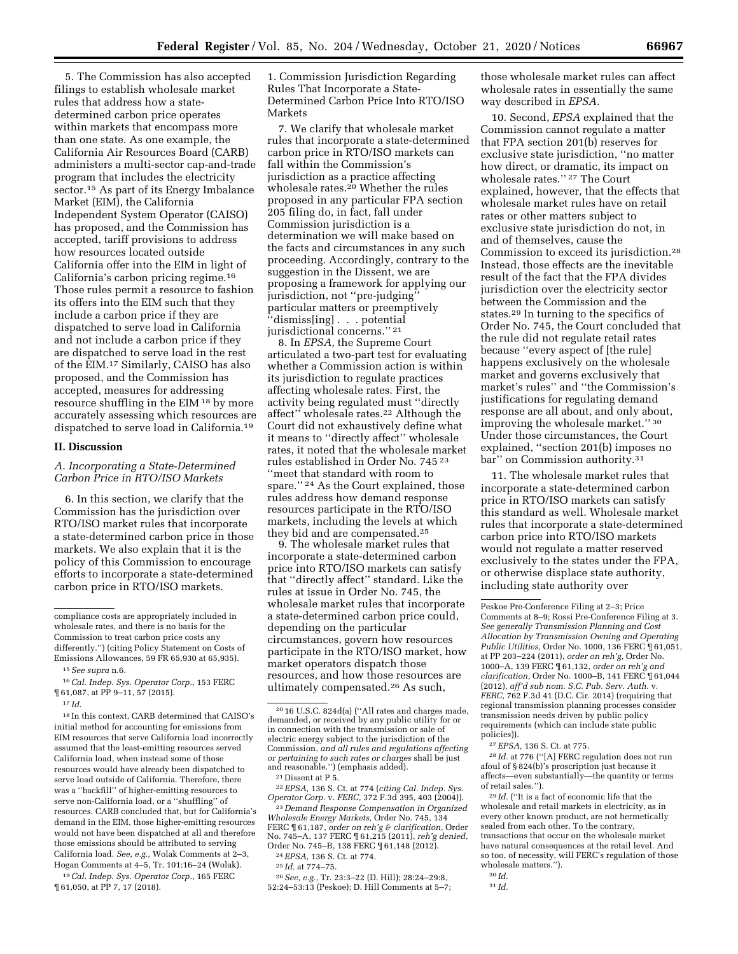5. The Commission has also accepted filings to establish wholesale market rules that address how a statedetermined carbon price operates within markets that encompass more than one state. As one example, the California Air Resources Board (CARB) administers a multi-sector cap-and-trade program that includes the electricity sector.15 As part of its Energy Imbalance Market (EIM), the California Independent System Operator (CAISO) has proposed, and the Commission has accepted, tariff provisions to address how resources located outside California offer into the EIM in light of California's carbon pricing regime.16 Those rules permit a resource to fashion its offers into the EIM such that they include a carbon price if they are dispatched to serve load in California and not include a carbon price if they are dispatched to serve load in the rest of the EIM.17 Similarly, CAISO has also proposed, and the Commission has accepted, measures for addressing resource shuffling in the EIM 18 by more accurately assessing which resources are dispatched to serve load in California.19

#### **II. Discussion**

# *A. Incorporating a State-Determined Carbon Price in RTO/ISO Markets*

6. In this section, we clarify that the Commission has the jurisdiction over RTO/ISO market rules that incorporate a state-determined carbon price in those markets. We also explain that it is the policy of this Commission to encourage efforts to incorporate a state-determined carbon price in RTO/ISO markets.

18 In this context, CARB determined that CAISO's initial method for accounting for emissions from EIM resources that serve California load incorrectly assumed that the least-emitting resources served California load, when instead some of those resources would have already been dispatched to serve load outside of California. Therefore, there was a ''backfill'' of higher-emitting resources to serve non-California load, or a ''shuffling'' of resources. CARB concluded that, but for California's demand in the EIM, those higher-emitting resources would not have been dispatched at all and therefore those emissions should be attributed to serving California load. *See, e.g.,* Wolak Comments at 2–3, Hogan Comments at 4–5, Tr. 101:16–24 (Wolak).

19*Cal. Indep. Sys. Operator Corp.,* 165 FERC ¶ 61,050, at PP 7, 17 (2018).

1. Commission Jurisdiction Regarding Rules That Incorporate a State-Determined Carbon Price Into RTO/ISO Markets

7. We clarify that wholesale market rules that incorporate a state-determined carbon price in RTO/ISO markets can fall within the Commission's jurisdiction as a practice affecting wholesale rates.20 Whether the rules proposed in any particular FPA section 205 filing do, in fact, fall under Commission jurisdiction is a determination we will make based on the facts and circumstances in any such proceeding. Accordingly, contrary to the suggestion in the Dissent, we are proposing a framework for applying our jurisdiction, not ''pre-judging'' particular matters or preemptively ''dismiss[ing] . . . potential jurisdictional concerns.'' 21

8. In *EPSA,* the Supreme Court articulated a two-part test for evaluating whether a Commission action is within its jurisdiction to regulate practices affecting wholesale rates. First, the activity being regulated must ''directly affect'' wholesale rates.22 Although the Court did not exhaustively define what it means to ''directly affect'' wholesale rates, it noted that the wholesale market rules established in Order No. 745 23 ''meet that standard with room to spare." <sup>24</sup> As the Court explained, those rules address how demand response resources participate in the RTO/ISO markets, including the levels at which they bid and are compensated.25

9. The wholesale market rules that incorporate a state-determined carbon price into RTO/ISO markets can satisfy that ''directly affect'' standard. Like the rules at issue in Order No. 745, the wholesale market rules that incorporate a state-determined carbon price could, depending on the particular circumstances, govern how resources participate in the RTO/ISO market, how market operators dispatch those resources, and how those resources are ultimately compensated.26 As such,

<sup>21</sup> Dissent at P 5.<br><sup>22</sup> EPSA, 136 S. Ct. at 774 (*citing Cal. Indep. Sys. Operator Corp.* v. *FERC*, 372 F.3d 395, 403 (2004)).

<sup>23</sup> Demand Response Compensation in Organized *Wholesale Energy Markets,* Order No. 745, 134 FERC ¶ 61,187, *order on reh'g & clarification,* Order No. 745–A, 137 FERC ¶ 61,215 (2011), *reh'g denied,* 

<sup>24</sup> *EPSA*, 136 S. Ct. at 774.<br><sup>25</sup> *Id.* at 774–75.<br><sup>26</sup> *See, e.g.*, Tr. 23:3–22 (D. Hill); 28:24–29:8, 52:24–53:13 (Peskoe); D. Hill Comments at 5–7; those wholesale market rules can affect wholesale rates in essentially the same way described in *EPSA.* 

10. Second, *EPSA* explained that the Commission cannot regulate a matter that FPA section 201(b) reserves for exclusive state jurisdiction, ''no matter how direct, or dramatic, its impact on wholesale rates.'' 27 The Court explained, however, that the effects that wholesale market rules have on retail rates or other matters subject to exclusive state jurisdiction do not, in and of themselves, cause the Commission to exceed its jurisdiction.28 Instead, those effects are the inevitable result of the fact that the FPA divides jurisdiction over the electricity sector between the Commission and the states.29 In turning to the specifics of Order No. 745, the Court concluded that the rule did not regulate retail rates because ''every aspect of [the rule] happens exclusively on the wholesale market and governs exclusively that market's rules'' and ''the Commission's justifications for regulating demand response are all about, and only about, improving the wholesale market." 30 Under those circumstances, the Court explained, ''section 201(b) imposes no bar'' on Commission authority.31

11. The wholesale market rules that incorporate a state-determined carbon price in RTO/ISO markets can satisfy this standard as well. Wholesale market rules that incorporate a state-determined carbon price into RTO/ISO markets would not regulate a matter reserved exclusively to the states under the FPA, or otherwise displace state authority, including state authority over

28 *Id.* at 776 (''[A] FERC regulation does not run afoul of § 824(b)'s proscription just because it affects—even substantially—the quantity or terms of retail sales.'').

29 *Id.* (''It is a fact of economic life that the wholesale and retail markets in electricity, as in every other known product, are not hermetically sealed from each other. To the contrary, transactions that occur on the wholesale market have natural consequences at the retail level. And so too, of necessity, will FERC's regulation of those wholesale matters.'').

compliance costs are appropriately included in wholesale rates, and there is no basis for the Commission to treat carbon price costs any differently.'') (citing Policy Statement on Costs of Emissions Allowances, 59 FR 65,930 at 65,935).

<sup>15</sup>*See supra* n.6.

<sup>16</sup>*Cal. Indep. Sys. Operator Corp.,* 153 FERC ¶ 61,087, at PP 9–11, 57 (2015).

<sup>17</sup> *Id.* 

<sup>20</sup> 16 U.S.C. 824d(a) (''All rates and charges made, demanded, or received by any public utility for or in connection with the transmission or sale of electric energy subject to the jurisdiction of the Commission, *and all rules and regulations affecting or pertaining to such rates or charges* shall be just

Peskoe Pre-Conference Filing at 2–3; Price Comments at 8–9; Rossi Pre-Conference Filing at 3. *See generally Transmission Planning and Cost Allocation by Transmission Owning and Operating Public Utilities,* Order No. 1000, 136 FERC ¶ 61,051, at PP 203–224 (2011), *order on reh'g,* Order No. 1000–A, 139 FERC ¶ 61,132, *order on reh'g and clarification,* Order No. 1000–B, 141 FERC ¶ 61,044 (2012), *aff'd sub nom. S.C. Pub. Serv. Auth.* v. *FERC,* 762 F.3d 41 (D.C. Cir. 2014) (requiring that regional transmission planning processes consider transmission needs driven by public policy requirements (which can include state public policies)).

<sup>27</sup>*EPSA,* 136 S. Ct. at 775.

<sup>30</sup> *Id.*  31 *Id.*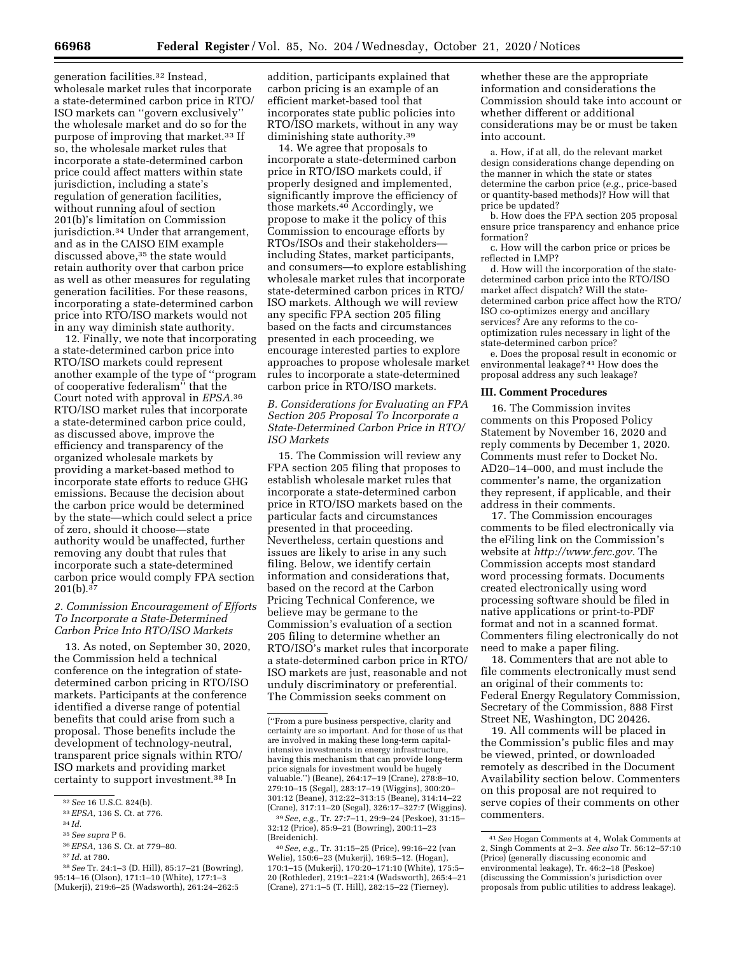generation facilities.32 Instead, wholesale market rules that incorporate a state-determined carbon price in RTO/ ISO markets can ''govern exclusively'' the wholesale market and do so for the purpose of improving that market.33 If so, the wholesale market rules that incorporate a state-determined carbon price could affect matters within state jurisdiction, including a state's regulation of generation facilities, without running afoul of section 201(b)'s limitation on Commission jurisdiction.34 Under that arrangement, and as in the CAISO EIM example discussed above,<sup>35</sup> the state would retain authority over that carbon price as well as other measures for regulating generation facilities. For these reasons, incorporating a state-determined carbon price into RTO/ISO markets would not in any way diminish state authority.

12. Finally, we note that incorporating a state-determined carbon price into RTO/ISO markets could represent another example of the type of ''program of cooperative federalism'' that the Court noted with approval in *EPSA.*36 RTO/ISO market rules that incorporate a state-determined carbon price could, as discussed above, improve the efficiency and transparency of the organized wholesale markets by providing a market-based method to incorporate state efforts to reduce GHG emissions. Because the decision about the carbon price would be determined by the state—which could select a price of zero, should it choose—state authority would be unaffected, further removing any doubt that rules that incorporate such a state-determined carbon price would comply FPA section  $201(b).^{37}$ 

## *2. Commission Encouragement of Efforts To Incorporate a State-Determined Carbon Price Into RTO/ISO Markets*

13. As noted, on September 30, 2020, the Commission held a technical conference on the integration of statedetermined carbon pricing in RTO/ISO markets. Participants at the conference identified a diverse range of potential benefits that could arise from such a proposal. Those benefits include the development of technology-neutral, transparent price signals within RTO/ ISO markets and providing market certainty to support investment.38 In

- 35*See supra* P 6.
- 36*EPSA,* 136 S. Ct. at 779–80.

addition, participants explained that carbon pricing is an example of an efficient market-based tool that incorporates state public policies into RTO/ISO markets, without in any way diminishing state authority.39

14. We agree that proposals to incorporate a state-determined carbon price in RTO/ISO markets could, if properly designed and implemented, significantly improve the efficiency of those markets.40 Accordingly, we propose to make it the policy of this Commission to encourage efforts by RTOs/ISOs and their stakeholders including States, market participants, and consumers—to explore establishing wholesale market rules that incorporate state-determined carbon prices in RTO/ ISO markets. Although we will review any specific FPA section 205 filing based on the facts and circumstances presented in each proceeding, we encourage interested parties to explore approaches to propose wholesale market rules to incorporate a state-determined carbon price in RTO/ISO markets.

*B. Considerations for Evaluating an FPA Section 205 Proposal To Incorporate a State-Determined Carbon Price in RTO/ ISO Markets* 

15. The Commission will review any FPA section 205 filing that proposes to establish wholesale market rules that incorporate a state-determined carbon price in RTO/ISO markets based on the particular facts and circumstances presented in that proceeding. Nevertheless, certain questions and issues are likely to arise in any such filing. Below, we identify certain information and considerations that, based on the record at the Carbon Pricing Technical Conference, we believe may be germane to the Commission's evaluation of a section 205 filing to determine whether an RTO/ISO's market rules that incorporate a state-determined carbon price in RTO/ ISO markets are just, reasonable and not unduly discriminatory or preferential. The Commission seeks comment on

39*See, e.g.,* Tr. 27:7–11, 29:9–24 (Peskoe), 31:15– 32:12 (Price), 85:9–21 (Bowring), 200:11–23 (Breidenich).

40*See, e.g.,* Tr. 31:15–25 (Price), 99:16–22 (van Welie), 150:6–23 (Mukerji), 169:5–12. (Hogan), 170:1–15 (Mukerji), 170:20–171:10 (White), 175:5– 20 (Rothleder), 219:1–221:4 (Wadsworth), 265:4–21 (Crane), 271:1–5 (T. Hill), 282:15–22 (Tierney).

whether these are the appropriate information and considerations the Commission should take into account or whether different or additional considerations may be or must be taken into account.

a. How, if at all, do the relevant market design considerations change depending on the manner in which the state or states determine the carbon price (*e.g.,* price-based or quantity-based methods)? How will that price be updated?

b. How does the FPA section 205 proposal ensure price transparency and enhance price formation?

c. How will the carbon price or prices be reflected in LMP?

d. How will the incorporation of the statedetermined carbon price into the RTO/ISO market affect dispatch? Will the statedetermined carbon price affect how the RTO/ ISO co-optimizes energy and ancillary services? Are any reforms to the cooptimization rules necessary in light of the state-determined carbon price?

e. Does the proposal result in economic or environmental leakage? 41 How does the proposal address any such leakage?

#### **III. Comment Procedures**

16. The Commission invites comments on this Proposed Policy Statement by November 16, 2020 and reply comments by December 1, 2020. Comments must refer to Docket No. AD20–14–000, and must include the commenter's name, the organization they represent, if applicable, and their address in their comments.

17. The Commission encourages comments to be filed electronically via the eFiling link on the Commission's website at *[http://www.ferc.gov.](http://www.ferc.gov)* The Commission accepts most standard word processing formats. Documents created electronically using word processing software should be filed in native applications or print-to-PDF format and not in a scanned format. Commenters filing electronically do not need to make a paper filing.

18. Commenters that are not able to file comments electronically must send an original of their comments to: Federal Energy Regulatory Commission, Secretary of the Commission, 888 First Street NE, Washington, DC 20426.

19. All comments will be placed in the Commission's public files and may be viewed, printed, or downloaded remotely as described in the Document Availability section below. Commenters on this proposal are not required to serve copies of their comments on other commenters.

<sup>32</sup>*See* 16 U.S.C. 824(b).

<sup>33</sup>*EPSA,* 136 S. Ct. at 776.

<sup>34</sup> *Id.* 

<sup>37</sup> *Id.* at 780.

<sup>38</sup>*See* Tr. 24:1–3 (D. Hill), 85:17–21 (Bowring), 95:14–16 (Olson), 171:1–10 (White), 177:1–3 (Mukerji), 219:6–25 (Wadsworth), 261:24–262:5

<sup>(&#</sup>x27;'From a pure business perspective, clarity and certainty are so important. And for those of us that are involved in making these long-term capitalintensive investments in energy infrastructure, having this mechanism that can provide long-term price signals for investment would be hugely valuable.'') (Beane), 264:17–19 (Crane), 278:8–10, 279:10–15 (Segal), 283:17–19 (Wiggins), 300:20– 301:12 (Beane), 312:22–313:15 (Beane), 314:14–22 (Crane), 317:11–20 (Segal), 326:17–327:7 (Wiggins).

<sup>41</sup>*See* Hogan Comments at 4, Wolak Comments at 2, Singh Comments at 2–3. *See also* Tr. 56:12–57:10 (Price) (generally discussing economic and environmental leakage), Tr. 46:2–18 (Peskoe) (discussing the Commission's jurisdiction over proposals from public utilities to address leakage).